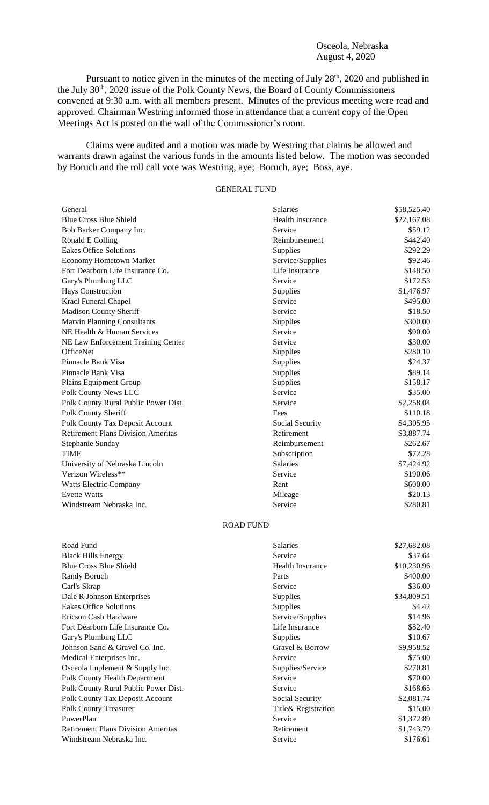## Osceola, Nebraska August 4, 2020

Pursuant to notice given in the minutes of the meeting of July 28<sup>th</sup>, 2020 and published in the July 30<sup>th</sup>, 2020 issue of the Polk County News, the Board of County Commissioners convened at 9:30 a.m. with all members present. Minutes of the previous meeting were read and approved. Chairman Westring informed those in attendance that a current copy of the Open Meetings Act is posted on the wall of the Commissioner's room.

Claims were audited and a motion was made by Westring that claims be allowed and warrants drawn against the various funds in the amounts listed below. The motion was seconded by Boruch and the roll call vote was Westring, aye; Boruch, aye; Boss, aye.

## GENERAL FUND

| General                                   | <b>Salaries</b>         | \$58,525.40 |
|-------------------------------------------|-------------------------|-------------|
| <b>Blue Cross Blue Shield</b>             | <b>Health Insurance</b> | \$22,167.08 |
| Bob Barker Company Inc.                   | Service                 | \$59.12     |
| Ronald E Colling                          | Reimbursement           | \$442.40    |
| <b>Eakes Office Solutions</b>             | Supplies                | \$292.29    |
| <b>Economy Hometown Market</b>            | Service/Supplies        | \$92.46     |
| Fort Dearborn Life Insurance Co.          | Life Insurance          | \$148.50    |
| Gary's Plumbing LLC                       | Service                 | \$172.53    |
| <b>Hays Construction</b>                  | Supplies                | \$1,476.97  |
| Kracl Funeral Chapel                      | Service                 | \$495.00    |
| <b>Madison County Sheriff</b>             | Service                 | \$18.50     |
| <b>Marvin Planning Consultants</b>        | Supplies                | \$300.00    |
| NE Health & Human Services                | Service                 | \$90.00     |
| NE Law Enforcement Training Center        | Service                 | \$30.00     |
| <b>OfficeNet</b>                          | Supplies                | \$280.10    |
| Pinnacle Bank Visa                        | Supplies                | \$24.37     |
| Pinnacle Bank Visa                        | Supplies                | \$89.14     |
| Plains Equipment Group                    | Supplies                | \$158.17    |
| Polk County News LLC                      | Service                 | \$35.00     |
| Polk County Rural Public Power Dist.      | Service                 | \$2,258.04  |
| Polk County Sheriff                       | Fees                    | \$110.18    |
| Polk County Tax Deposit Account           | Social Security         | \$4,305.95  |
| <b>Retirement Plans Division Ameritas</b> | Retirement              | \$3,887.74  |
| Stephanie Sunday                          | Reimbursement           | \$262.67    |
| <b>TIME</b>                               | Subscription            | \$72.28     |
| University of Nebraska Lincoln            | <b>Salaries</b>         | \$7,424.92  |
| Verizon Wireless**                        | Service                 | \$190.06    |
| <b>Watts Electric Company</b>             | Rent                    | \$600.00    |
| <b>Evette Watts</b>                       | Mileage                 | \$20.13     |
| Windstream Nebraska Inc.                  | Service                 | \$280.81    |

## ROAD FUND

| Road Fund                                 | Salaries                | \$27,682.08 |
|-------------------------------------------|-------------------------|-------------|
| <b>Black Hills Energy</b>                 | Service                 | \$37.64     |
| <b>Blue Cross Blue Shield</b>             | <b>Health Insurance</b> | \$10,230.96 |
| Randy Boruch                              | Parts                   | \$400.00    |
| Carl's Skrap                              | Service                 | \$36.00     |
| Dale R Johnson Enterprises                | <b>Supplies</b>         | \$34,809.51 |
| <b>Eakes Office Solutions</b>             | Supplies                | \$4.42      |
| Ericson Cash Hardware                     | Service/Supplies        | \$14.96     |
| Fort Dearborn Life Insurance Co.          | Life Insurance          | \$82.40     |
| Gary's Plumbing LLC                       | <b>Supplies</b>         | \$10.67     |
| Johnson Sand & Gravel Co. Inc.            | Gravel & Borrow         | \$9,958.52  |
| Medical Enterprises Inc.                  | Service                 | \$75.00     |
| Osceola Implement & Supply Inc.           | Supplies/Service        | \$270.81    |
| Polk County Health Department             | Service                 | \$70.00     |
| Polk County Rural Public Power Dist.      | Service                 | \$168.65    |
| Polk County Tax Deposit Account           | Social Security         | \$2,081.74  |
| <b>Polk County Treasurer</b>              | Title& Registration     | \$15.00     |
| PowerPlan                                 | Service                 | \$1,372.89  |
| <b>Retirement Plans Division Ameritas</b> | Retirement              | \$1,743.79  |
| Windstream Nebraska Inc.                  | Service                 | \$176.61    |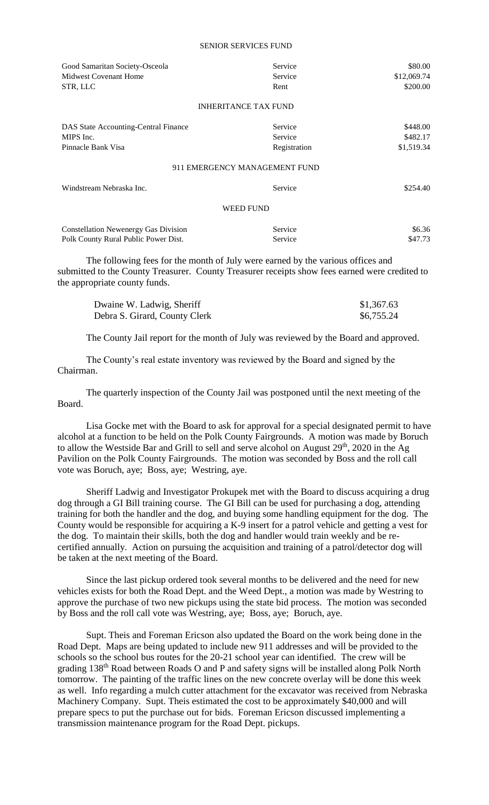## SENIOR SERVICES FUND

| Good Samaritan Society-Osceola              | Service                       | \$80.00     |
|---------------------------------------------|-------------------------------|-------------|
| <b>Midwest Covenant Home</b>                | Service                       | \$12,069.74 |
| STR, LLC                                    | Rent                          | \$200.00    |
|                                             | <b>INHERITANCE TAX FUND</b>   |             |
| DAS State Accounting-Central Finance        | Service                       | \$448.00    |
| MIPS Inc.                                   | Service                       | \$482.17    |
| Pinnacle Bank Visa                          | Registration                  | \$1,519.34  |
|                                             | 911 EMERGENCY MANAGEMENT FUND |             |
| Windstream Nebraska Inc.                    | Service                       | \$254.40    |
|                                             | <b>WEED FUND</b>              |             |
| <b>Constellation Newenergy Gas Division</b> | Service                       | \$6.36      |
| Polk County Rural Public Power Dist.        | Service                       | \$47.73     |
|                                             |                               |             |

The following fees for the month of July were earned by the various offices and submitted to the County Treasurer. County Treasurer receipts show fees earned were credited to the appropriate county funds.

| Dwaine W. Ladwig, Sheriff     | \$1,367.63 |
|-------------------------------|------------|
| Debra S. Girard, County Clerk | \$6,755.24 |

The County Jail report for the month of July was reviewed by the Board and approved.

The County's real estate inventory was reviewed by the Board and signed by the Chairman.

The quarterly inspection of the County Jail was postponed until the next meeting of the Board.

Lisa Gocke met with the Board to ask for approval for a special designated permit to have alcohol at a function to be held on the Polk County Fairgrounds. A motion was made by Boruch to allow the Westside Bar and Grill to sell and serve alcohol on August  $29<sup>th</sup>$ , 2020 in the Ag Pavilion on the Polk County Fairgrounds. The motion was seconded by Boss and the roll call vote was Boruch, aye; Boss, aye; Westring, aye.

Sheriff Ladwig and Investigator Prokupek met with the Board to discuss acquiring a drug dog through a GI Bill training course. The GI Bill can be used for purchasing a dog, attending training for both the handler and the dog, and buying some handling equipment for the dog. The County would be responsible for acquiring a K-9 insert for a patrol vehicle and getting a vest for the dog. To maintain their skills, both the dog and handler would train weekly and be recertified annually. Action on pursuing the acquisition and training of a patrol/detector dog will be taken at the next meeting of the Board.

Since the last pickup ordered took several months to be delivered and the need for new vehicles exists for both the Road Dept. and the Weed Dept., a motion was made by Westring to approve the purchase of two new pickups using the state bid process. The motion was seconded by Boss and the roll call vote was Westring, aye; Boss, aye; Boruch, aye.

Supt. Theis and Foreman Ericson also updated the Board on the work being done in the Road Dept. Maps are being updated to include new 911 addresses and will be provided to the schools so the school bus routes for the 20-21 school year can identified. The crew will be grading 138th Road between Roads O and P and safety signs will be installed along Polk North tomorrow. The painting of the traffic lines on the new concrete overlay will be done this week as well. Info regarding a mulch cutter attachment for the excavator was received from Nebraska Machinery Company. Supt. Theis estimated the cost to be approximately \$40,000 and will prepare specs to put the purchase out for bids. Foreman Ericson discussed implementing a transmission maintenance program for the Road Dept. pickups.